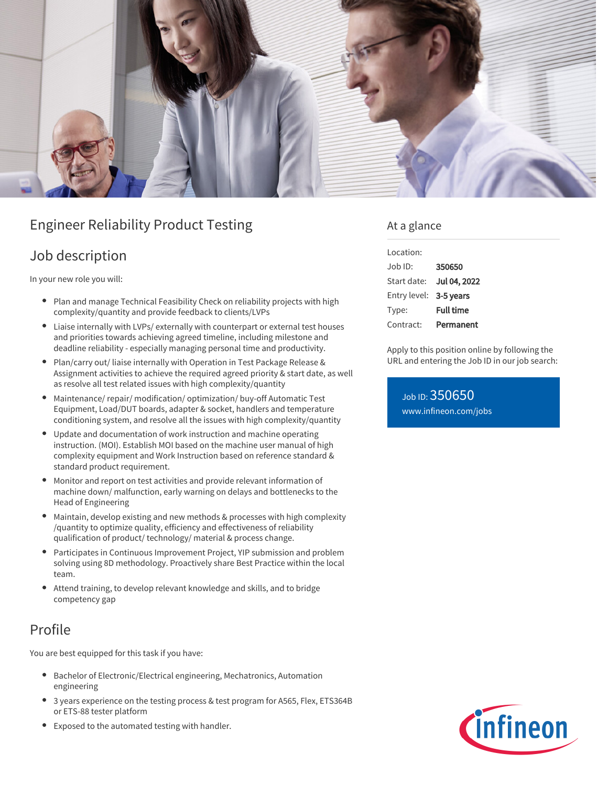

# Engineer Reliability Product Testing

### Job description

In your new role you will:

- $\bullet$ Plan and manage Technical Feasibility Check on reliability projects with high complexity/quantity and provide feedback to clients/LVPs
- Liaise internally with LVPs/ externally with counterpart or external test houses and priorities towards achieving agreed timeline, including milestone and deadline reliability - especially managing personal time and productivity.
- Plan/carry out/ liaise internally with Operation in Test Package Release & Assignment activities to achieve the required agreed priority & start date, as well as resolve all test related issues with high complexity/quantity
- Maintenance/ repair/ modification/ optimization/ buy-off Automatic Test Equipment, Load/DUT boards, adapter & socket, handlers and temperature conditioning system, and resolve all the issues with high complexity/quantity
- Update and documentation of work instruction and machine operating instruction. (MOI). Establish MOI based on the machine user manual of high complexity equipment and Work Instruction based on reference standard & standard product requirement.
- Monitor and report on test activities and provide relevant information of machine down/ malfunction, early warning on delays and bottlenecks to the Head of Engineering
- Maintain, develop existing and new methods & processes with high complexity /quantity to optimize quality, efficiency and effectiveness of reliability qualification of product/ technology/ material & process change.
- Participates in Continuous Improvement Project, YIP submission and problem solving using 8D methodology. Proactively share Best Practice within the local team.
- Attend training, to develop relevant knowledge and skills, and to bridge competency gap

## Profile

You are best equipped for this task if you have:

- Bachelor of Electronic/Electrical engineering, Mechatronics, Automation engineering
- 3 years experience on the testing process & test program for A565, Flex, ETS364B or ETS-88 tester platform
- Exposed to the automated testing with handler.

### At a glance

| Location:              |                     |
|------------------------|---------------------|
| $Joh$ ID:              | 350650              |
| Start date:            | <b>Jul 04, 2022</b> |
| Entry level: 3-5 years |                     |
| Type:                  | <b>Full time</b>    |
| Contract:              | Permanent           |

Apply to this position online by following the URL and entering the Job ID in our job search:

Job ID: 350650 [www.infineon.com/jobs](https://www.infineon.com/jobs)